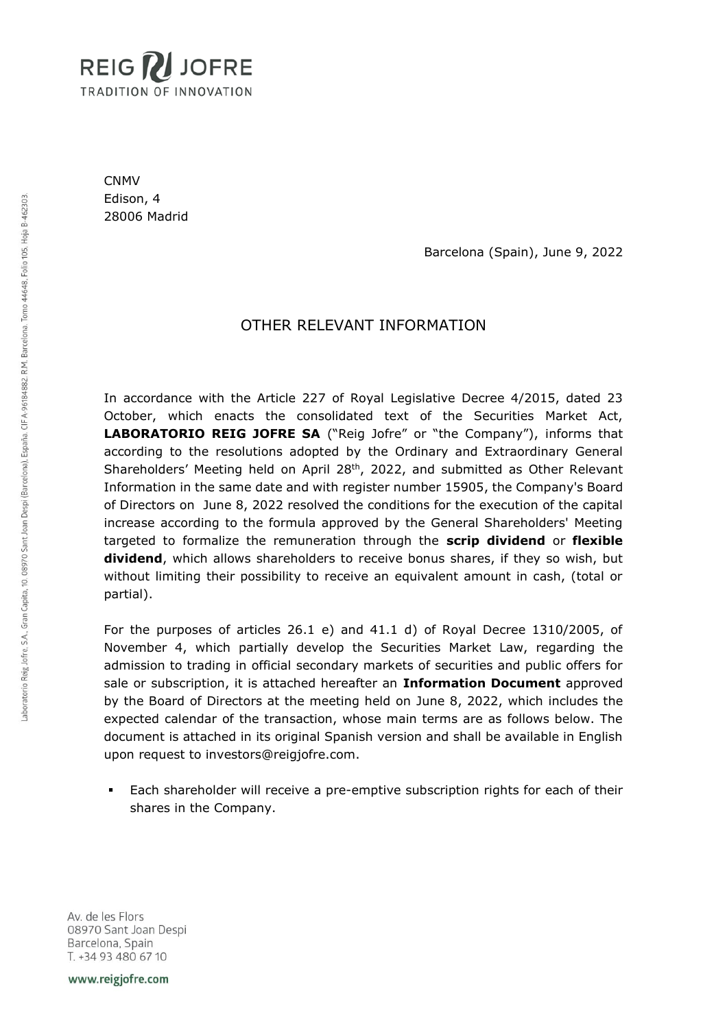

CNMV Edison, 4 28006 Madrid

Barcelona (Spain), June 9, 2022

# OTHER RELEVANT INFORMATION

In accordance with the Article 227 of Royal Legislative Decree 4/2015, dated 23 October, which enacts the consolidated text of the Securities Market Act, **LABORATORIO REIG JOFRE SA** ("Reig Jofre" or "the Company"), informs that according to the resolutions adopted by the Ordinary and Extraordinary General Shareholders' Meeting held on April  $28<sup>th</sup>$ , 2022, and submitted as Other Relevant Information in the same date and with register number 15905, the Company's Board of Directors on June 8, 2022 resolved the conditions for the execution of the capital increase according to the formula approved by the General Shareholders' Meeting targeted to formalize the remuneration through the **scrip dividend** or **flexible dividend**, which allows shareholders to receive bonus shares, if they so wish, but without limiting their possibility to receive an equivalent amount in cash, (total or partial).

For the purposes of articles 26.1 e) and 41.1 d) of Royal Decree 1310/2005, of November 4, which partially develop the Securities Market Law, regarding the admission to trading in official secondary markets of securities and public offers for sale or subscription, it is attached hereafter an **Information Document** approved by the Board of Directors at the meeting held on June 8, 2022, which includes the expected calendar of the transaction, whose main terms are as follows below. The document is attached in its original Spanish version and shall be available in English upon request to investors@reigjofre.com.

Each shareholder will receive a pre-emptive subscription rights for each of their shares in the Company.

Av. de les Flors 08970 Sant Joan Despi Barcelona, Spain T. +34 93 480 67 10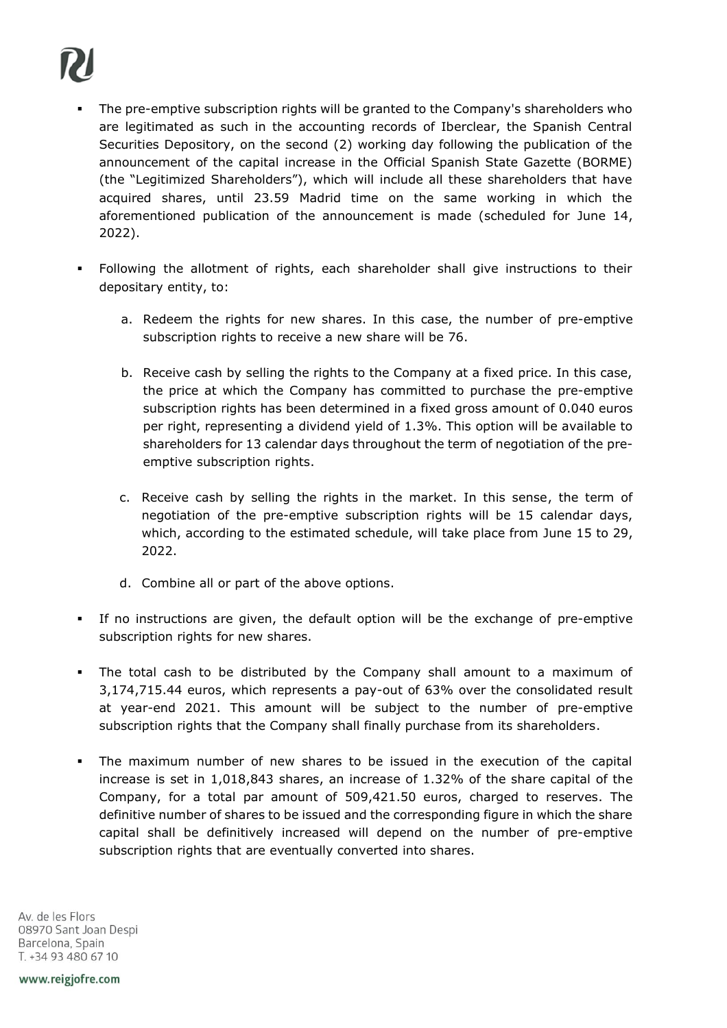# The pre-emptive subscription rights will be granted to the Company's shareholders who are legitimated as such in the accounting records of Iberclear, the Spanish Central Securities Depository, on the second (2) working day following the publication of the announcement of the capital increase in the Official Spanish State Gazette (BORME) (the "Legitimized Shareholders"), which will include all these shareholders that have acquired shares, until 23.59 Madrid time on the same working in which the aforementioned publication of the announcement is made (scheduled for June 14, 2022).

- Following the allotment of rights, each shareholder shall give instructions to their depositary entity, to:
	- a. Redeem the rights for new shares. In this case, the number of pre-emptive subscription rights to receive a new share will be 76.
	- b. Receive cash by selling the rights to the Company at a fixed price. In this case, the price at which the Company has committed to purchase the pre-emptive subscription rights has been determined in a fixed gross amount of 0.040 euros per right, representing a dividend yield of 1.3%. This option will be available to shareholders for 13 calendar days throughout the term of negotiation of the preemptive subscription rights.
	- c. Receive cash by selling the rights in the market. In this sense, the term of negotiation of the pre-emptive subscription rights will be 15 calendar days, which, according to the estimated schedule, will take place from June 15 to 29, 2022.
	- d. Combine all or part of the above options.
- If no instructions are given, the default option will be the exchange of pre-emptive subscription rights for new shares.
- The total cash to be distributed by the Company shall amount to a maximum of 3,174,715.44 euros, which represents a pay-out of 63% over the consolidated result at year-end 2021. This amount will be subject to the number of pre-emptive subscription rights that the Company shall finally purchase from its shareholders.
- The maximum number of new shares to be issued in the execution of the capital increase is set in 1,018,843 shares, an increase of 1.32% of the share capital of the Company, for a total par amount of 509,421.50 euros, charged to reserves. The definitive number of shares to be issued and the corresponding figure in which the share capital shall be definitively increased will depend on the number of pre-emptive subscription rights that are eventually converted into shares.

Av. de les Flors 08970 Sant Joan Despi Barcelona, Spain T. +34 93 480 67 10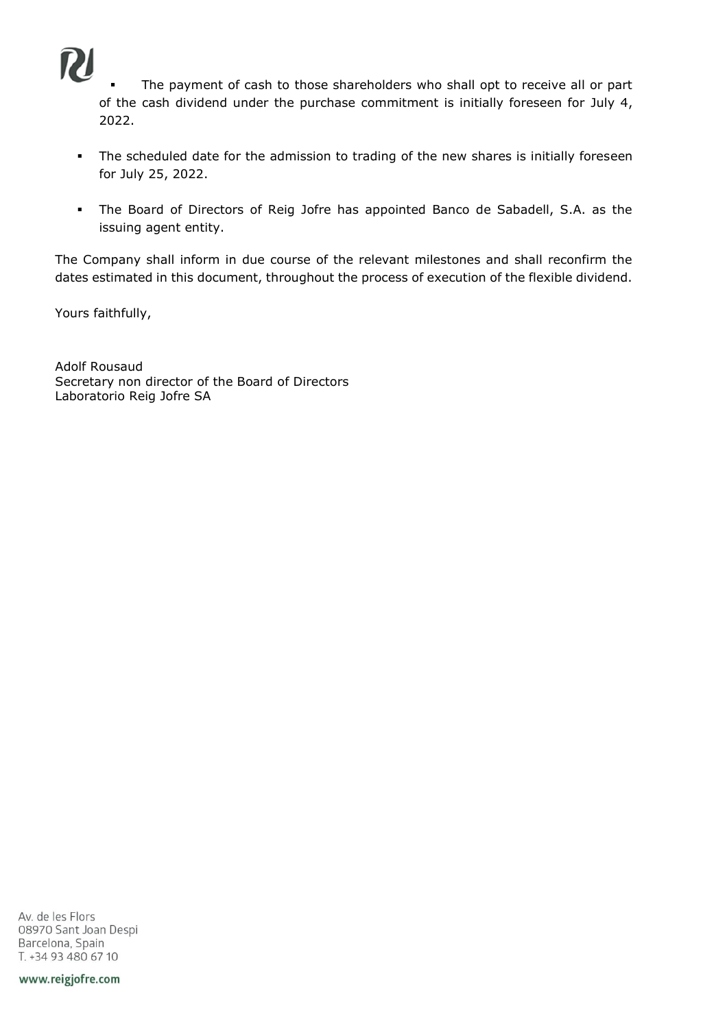

The payment of cash to those shareholders who shall opt to receive all or part of the cash dividend under the purchase commitment is initially foreseen for July 4, 2022.

- **.** The scheduled date for the admission to trading of the new shares is initially foreseen for July 25, 2022.
- The Board of Directors of Reig Jofre has appointed Banco de Sabadell, S.A. as the issuing agent entity.

The Company shall inform in due course of the relevant milestones and shall reconfirm the dates estimated in this document, throughout the process of execution of the flexible dividend.

Yours faithfully,

Adolf Rousaud Secretary non director of the Board of Directors Laboratorio Reig Jofre SA

Av. de les Flors 08970 Sant Joan Despi Barcelona, Spain T. +34 93 480 67 10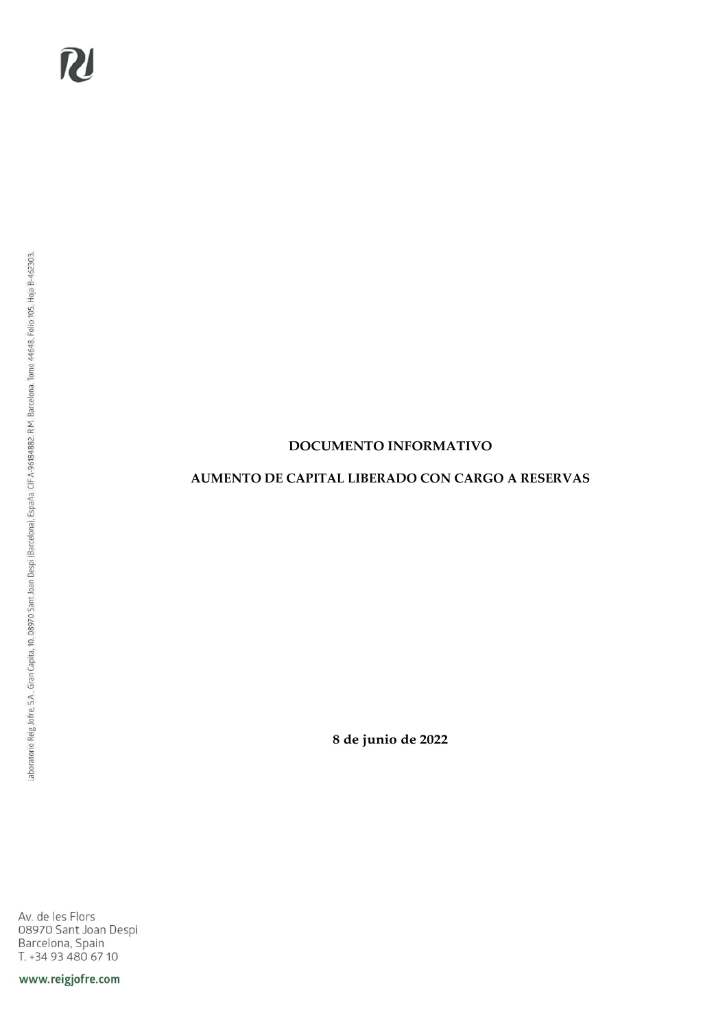## **DOCUMENTO INFORMATIVO**

### **AUMENTO DE CAPITAL LIBERADO CON CARGO A RESERVAS**

**8 de junio de 2022**

Av. de les Flors 08970 Sant Joan Despi<br>Barcelona, Spain<br>T. +34 93 480 67 10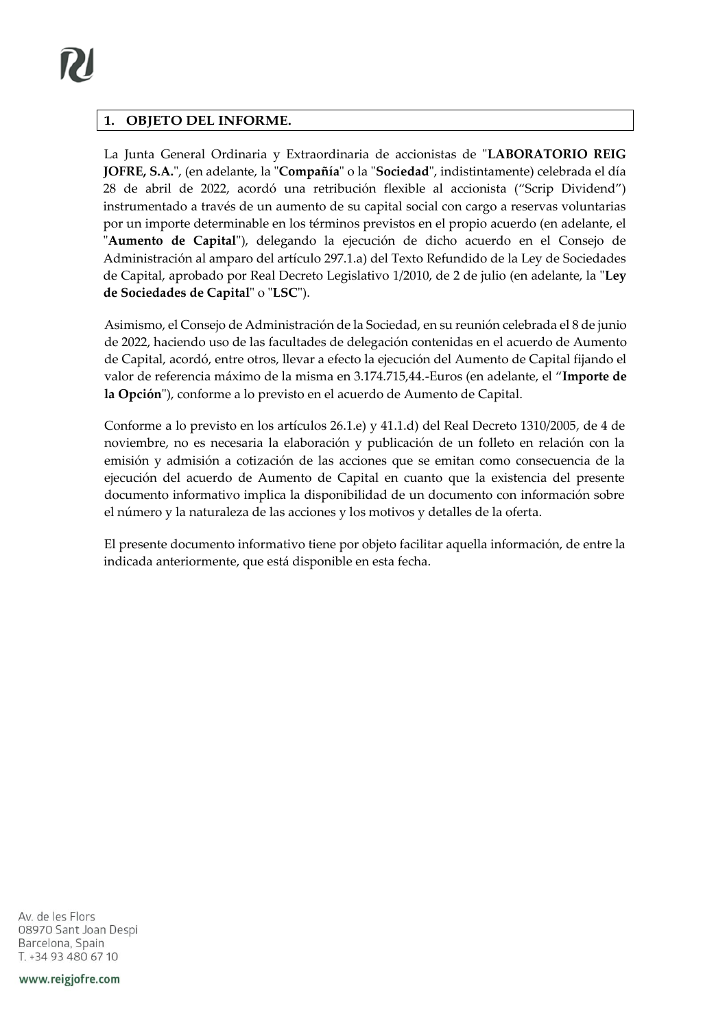### **1. OBJETO DEL INFORME.**

La Junta General Ordinaria y Extraordinaria de accionistas de "**LABORATORIO REIG JOFRE, S.A.**", (en adelante, la "**Compañía**" o la "**Sociedad**", indistintamente) celebrada el día 28 de abril de 2022, acordó una retribución flexible al accionista ("Scrip Dividend") instrumentado a través de un aumento de su capital social con cargo a reservas voluntarias por un importe determinable en los términos previstos en el propio acuerdo (en adelante, el "**Aumento de Capital**"), delegando la ejecución de dicho acuerdo en el Consejo de Administración al amparo del artículo 297.1.a) del Texto Refundido de la Ley de Sociedades de Capital, aprobado por Real Decreto Legislativo 1/2010, de 2 de julio (en adelante, la "**Ley de Sociedades de Capital**" o "**LSC**").

Asimismo, el Consejo de Administración de la Sociedad, en su reunión celebrada el 8 de junio de 2022, haciendo uso de las facultades de delegación contenidas en el acuerdo de Aumento de Capital, acordó, entre otros, llevar a efecto la ejecución del Aumento de Capital fijando el valor de referencia máximo de la misma en 3.174.715,44.-Euros (en adelante, el "**Importe de la Opción**"), conforme a lo previsto en el acuerdo de Aumento de Capital.

Conforme a lo previsto en los artículos 26.1.e) y 41.1.d) del Real Decreto 1310/2005, de 4 de noviembre, no es necesaria la elaboración y publicación de un folleto en relación con la emisión y admisión a cotización de las acciones que se emitan como consecuencia de la ejecución del acuerdo de Aumento de Capital en cuanto que la existencia del presente documento informativo implica la disponibilidad de un documento con información sobre el número y la naturaleza de las acciones y los motivos y detalles de la oferta.

El presente documento informativo tiene por objeto facilitar aquella información, de entre la indicada anteriormente, que está disponible en esta fecha.

Av. de les Flors 08970 Sant Joan Despi Barcelona, Spain T. +34 93 480 67 10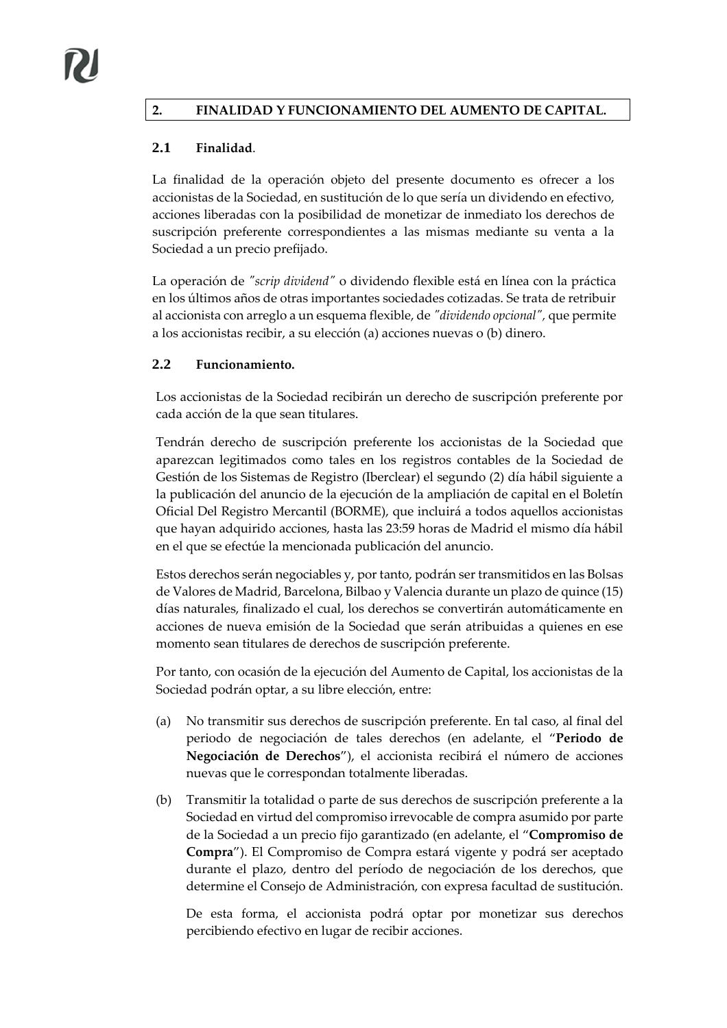# **2. FINALIDAD Y FUNCIONAMIENTO DEL AUMENTO DE CAPITAL.**

### **2.1 Finalidad**.

La finalidad de la operación objeto del presente documento es ofrecer a los accionistas de la Sociedad, en sustitución de lo que sería un dividendo en efectivo, acciones liberadas con la posibilidad de monetizar de inmediato los derechos de suscripción preferente correspondientes a las mismas mediante su venta a la Sociedad a un precio prefijado.

La operación de *"scrip dividend"* o dividendo flexible está en línea con la práctica en los últimos años de otras importantes sociedades cotizadas. Se trata de retribuir al accionista con arreglo a un esquema flexible, de *"dividendo opcional",* que permite a los accionistas recibir, a su elección (a) acciones nuevas o (b) dinero.

#### **2.2 Funcionamiento.**

Los accionistas de la Sociedad recibirán un derecho de suscripción preferente por cada acción de la que sean titulares.

Tendrán derecho de suscripción preferente los accionistas de la Sociedad que aparezcan legitimados como tales en los registros contables de la Sociedad de Gestión de los Sistemas de Registro (Iberclear) el segundo (2) día hábil siguiente a la publicación del anuncio de la ejecución de la ampliación de capital en el Boletín Oficial Del Registro Mercantil (BORME), que incluirá a todos aquellos accionistas que hayan adquirido acciones, hasta las 23:59 horas de Madrid el mismo día hábil en el que se efectúe la mencionada publicación del anuncio.

Estos derechos serán negociables y, por tanto, podrán ser transmitidos en las Bolsas de Valores de Madrid, Barcelona, Bilbao y Valencia durante un plazo de quince (15) días naturales, finalizado el cual, los derechos se convertirán automáticamente en acciones de nueva emisión de la Sociedad que serán atribuidas a quienes en ese momento sean titulares de derechos de suscripción preferente.

Por tanto, con ocasión de la ejecución del Aumento de Capital, los accionistas de la Sociedad podrán optar, a su libre elección, entre:

- (a) No transmitir sus derechos de suscripción preferente. En tal caso, al final del periodo de negociación de tales derechos (en adelante, el "**Periodo de Negociación de Derechos**"), el accionista recibirá el número de acciones nuevas que le correspondan totalmente liberadas.
- (b) Transmitir la totalidad o parte de sus derechos de suscripción preferente a la Sociedad en virtud del compromiso irrevocable de compra asumido por parte de la Sociedad a un precio fijo garantizado (en adelante, el "**Compromiso de Compra**"). El Compromiso de Compra estará vigente y podrá ser aceptado durante el plazo, dentro del período de negociación de los derechos, que determine el Consejo de Administración, con expresa facultad de sustitución.

De esta forma, el accionista podrá optar por monetizar sus derechos percibiendo efectivo en lugar de recibir acciones.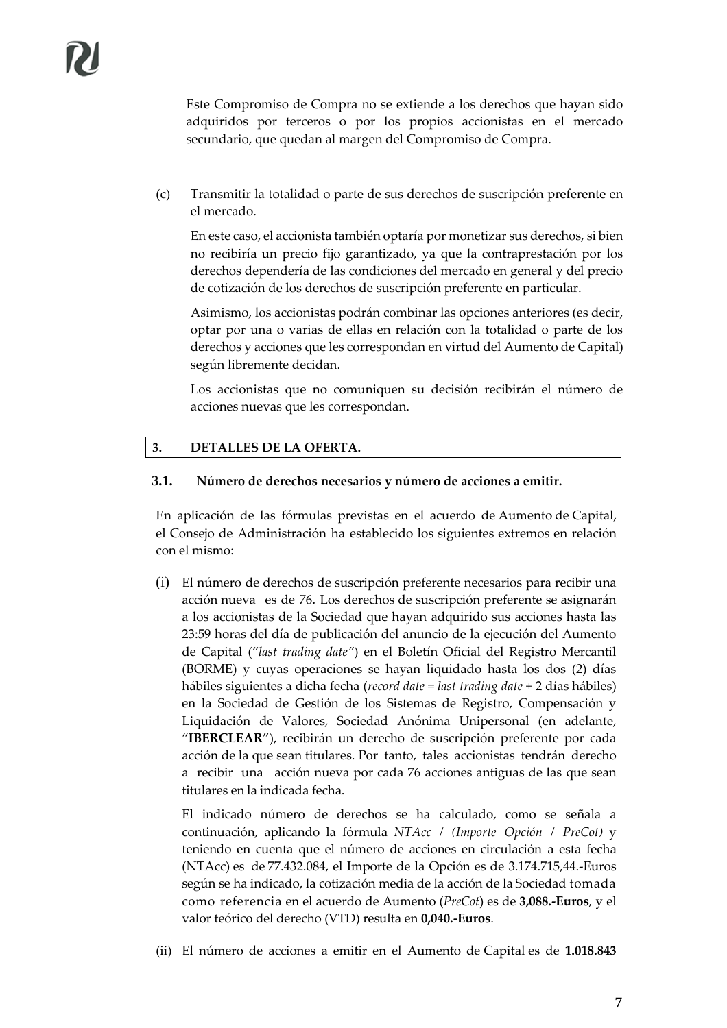Este Compromiso de Compra no se extiende a los derechos que hayan sido adquiridos por terceros o por los propios accionistas en el mercado secundario, que quedan al margen del Compromiso de Compra.

(c) Transmitir la totalidad o parte de sus derechos de suscripción preferente en el mercado.

En este caso, el accionista también optaría por monetizar sus derechos, si bien no recibiría un precio fijo garantizado, ya que la contraprestación por los derechos dependería de las condiciones del mercado en general y del precio de cotización de los derechos de suscripción preferente en particular.

Asimismo, los accionistas podrán combinar las opciones anteriores (es decir, optar por una o varias de ellas en relación con la totalidad o parte de los derechos y acciones que les correspondan en virtud del Aumento de Capital) según libremente decidan.

Los accionistas que no comuniquen su decisión recibirán el número de acciones nuevas que les correspondan.

#### **3. DETALLES DE LA OFERTA.**

#### **3.1. Número de derechos necesarios y número de acciones a emitir.**

En aplicación de las fórmulas previstas en el acuerdo de Aumento de Capital, el Consejo de Administración ha establecido los siguientes extremos en relación con el mismo:

(i) El número de derechos de suscripción preferente necesarios para recibir una acción nueva es de 76**.** Los derechos de suscripción preferente se asignarán a los accionistas de la Sociedad que hayan adquirido sus acciones hasta las 23:59 horas del día de publicación del anuncio de la ejecución del Aumento de Capital ("*last trading date"*) en el Boletín Oficial del Registro Mercantil (BORME) y cuyas operaciones se hayan liquidado hasta los dos (2) días hábiles siguientes a dicha fecha (*record date* = *last trading date* + 2 días hábiles) en la Sociedad de Gestión de los Sistemas de Registro, Compensación y Liquidación de Valores, Sociedad Anónima Unipersonal (en adelante, "**IBERCLEAR**"), recibirán un derecho de suscripción preferente por cada acción de la que sean titulares. Por tanto, tales accionistas tendrán derecho a recibir una acción nueva por cada 76 acciones antiguas de las que sean titulares en la indicada fecha.

El indicado número de derechos se ha calculado, como se señala a continuación, aplicando la fórmula *NTAcc / (Importe Opción / PreCot)* y teniendo en cuenta que el número de acciones en circulación a esta fecha (NTAcc) es de 77.432.084, el Importe de la Opción es de 3.174.715,44.-Euros según se ha indicado, la cotización media de la acción de la Sociedad tomada como referencia en el acuerdo de Aumento (*PreCot*) es de **3,088.-Euros**, y el valor teórico del derecho (VTD) resulta en **0,040.-Euros**.

(ii) El número de acciones a emitir en el Aumento de Capital es de **1.018.843**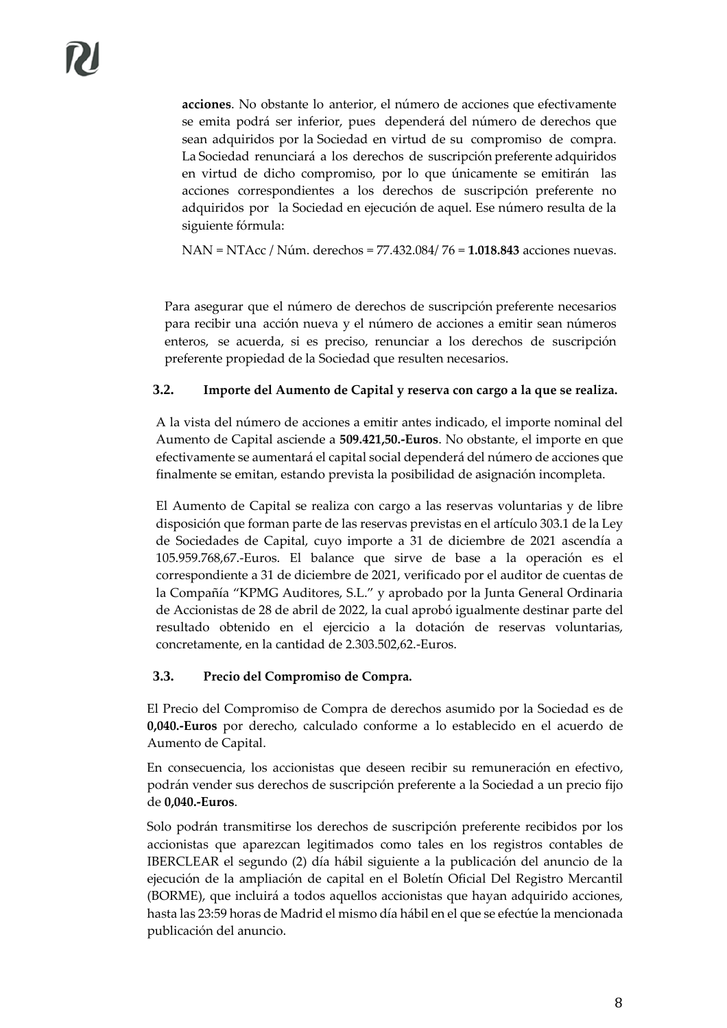**acciones**. No obstante lo anterior, el número de acciones que efectivamente se emita podrá ser inferior, pues dependerá del número de derechos que sean adquiridos por la Sociedad en virtud de su compromiso de compra. La Sociedad renunciará a los derechos de suscripción preferente adquiridos en virtud de dicho compromiso, por lo que únicamente se emitirán las acciones correspondientes a los derechos de suscripción preferente no adquiridos por la Sociedad en ejecución de aquel. Ese número resulta de la siguiente fórmula:

NAN = NTAcc / Núm. derechos = 77.432.084/ 76 = **1.018.843** acciones nuevas.

Para asegurar que el número de derechos de suscripción preferente necesarios para recibir una acción nueva y el número de acciones a emitir sean números enteros, se acuerda, si es preciso, renunciar a los derechos de suscripción preferente propiedad de la Sociedad que resulten necesarios.

#### **3.2. Importe del Aumento de Capital y reserva con cargo a la que se realiza.**

A la vista del número de acciones a emitir antes indicado, el importe nominal del Aumento de Capital asciende a **509.421,50.-Euros**. No obstante, el importe en que efectivamente se aumentará el capital social dependerá del número de acciones que finalmente se emitan, estando prevista la posibilidad de asignación incompleta.

El Aumento de Capital se realiza con cargo a las reservas voluntarias y de libre disposición que forman parte de las reservas previstas en el artículo 303.1 de la Ley de Sociedades de Capital, cuyo importe a 31 de diciembre de 2021 ascendía a 105.959.768,67.-Euros. El balance que sirve de base a la operación es el correspondiente a 31 de diciembre de 2021, verificado por el auditor de cuentas de la Compañía "KPMG Auditores, S.L." y aprobado por la Junta General Ordinaria de Accionistas de 28 de abril de 2022, la cual aprobó igualmente destinar parte del resultado obtenido en el ejercicio a la dotación de reservas voluntarias, concretamente, en la cantidad de 2.303.502,62.-Euros.

#### **3.3. Precio del Compromiso de Compra.**

El Precio del Compromiso de Compra de derechos asumido por la Sociedad es de **0,040.-Euros** por derecho, calculado conforme a lo establecido en el acuerdo de Aumento de Capital.

En consecuencia, los accionistas que deseen recibir su remuneración en efectivo, podrán vender sus derechos de suscripción preferente a la Sociedad a un precio fijo de **0,040.-Euros**.

Solo podrán transmitirse los derechos de suscripción preferente recibidos por los accionistas que aparezcan legitimados como tales en los registros contables de IBERCLEAR el segundo (2) día hábil siguiente a la publicación del anuncio de la ejecución de la ampliación de capital en el Boletín Oficial Del Registro Mercantil (BORME), que incluirá a todos aquellos accionistas que hayan adquirido acciones, hasta las 23:59 horas de Madrid el mismo día hábil en el que se efectúe la mencionada publicación del anuncio.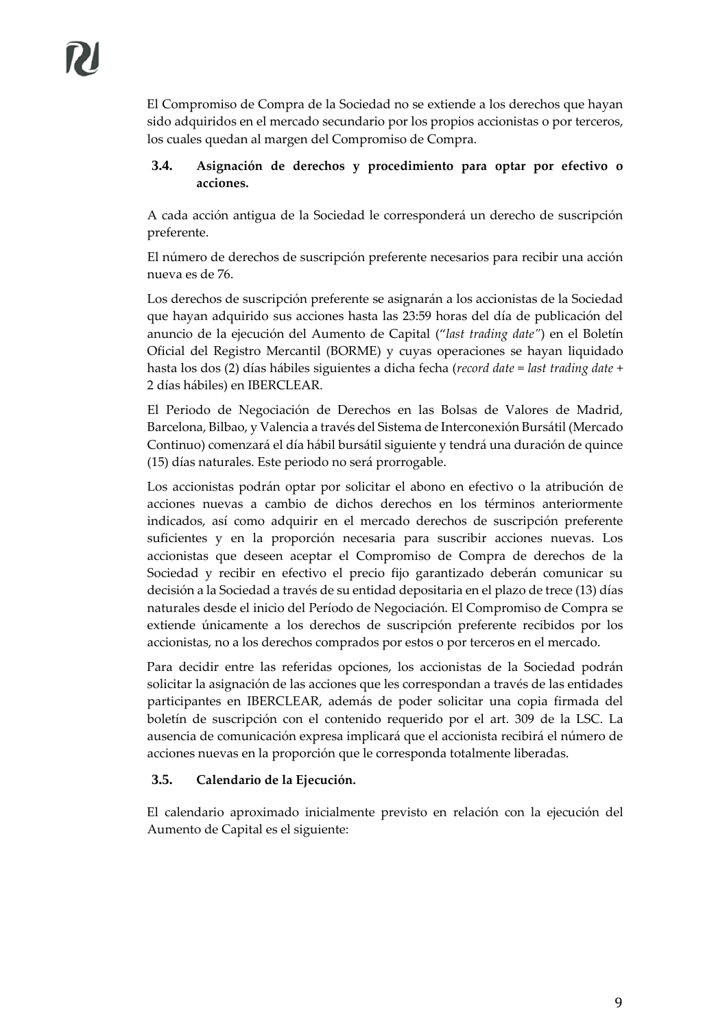El Compromiso de Compra de la Sociedad no se extiende a los derechos que hayan sido adquiridos en el mercado secundario por los propios accionistas o por terceros, los cuales quedan al margen del Compromiso de Compra.

### **3.4. Asignación de derechos y procedimiento para optar por efectivo o acciones.**

A cada acción antigua de la Sociedad le corresponderá un derecho de suscripción preferente.

El número de derechos de suscripción preferente necesarios para recibir una acción nueva es de 76.

Los derechos de suscripción preferente se asignarán a los accionistas de la Sociedad que hayan adquirido sus acciones hasta las 23:59 horas del día de publicación del anuncio de la ejecución del Aumento de Capital ("*last trading date"*) en el Boletín Oficial del Registro Mercantil (BORME) y cuyas operaciones se hayan liquidado hasta los dos (2) días hábiles siguientes a dicha fecha (*record date* = *last trading date* + 2 días hábiles) en IBERCLEAR.

El Periodo de Negociación de Derechos en las Bolsas de Valores de Madrid, Barcelona, Bilbao, y Valencia a través del Sistema de Interconexión Bursátil (Mercado Continuo) comenzará el día hábil bursátil siguiente y tendrá una duración de quince (15) días naturales. Este periodo no será prorrogable.

Los accionistas podrán optar por solicitar el abono en efectivo o la atribución de acciones nuevas a cambio de dichos derechos en los términos anteriormente indicados, así como adquirir en el mercado derechos de suscripción preferente suficientes y en la proporción necesaria para suscribir acciones nuevas. Los accionistas que deseen aceptar el Compromiso de Compra de derechos de la Sociedad y recibir en efectivo el precio fijo garantizado deberán comunicar su decisión a la Sociedad a través de su entidad depositaria en el plazo de trece (13) días naturales desde el inicio del Período de Negociación. El Compromiso de Compra se extiende únicamente a los derechos de suscripción preferente recibidos por los accionistas, no a los derechos comprados por estos o por terceros en el mercado.

Para decidir entre las referidas opciones, los accionistas de la Sociedad podrán solicitar la asignación de las acciones que les correspondan a través de las entidades participantes en IBERCLEAR, además de poder solicitar una copia firmada del boletín de suscripción con el contenido requerido por el art. 309 de la LSC. La ausencia de comunicación expresa implicará que el accionista recibirá el número de acciones nuevas en la proporción que le corresponda totalmente liberadas.

## **3.5. Calendario de la Ejecución.**

El calendario aproximado inicialmente previsto en relación con la ejecución del Aumento de Capital es el siguiente: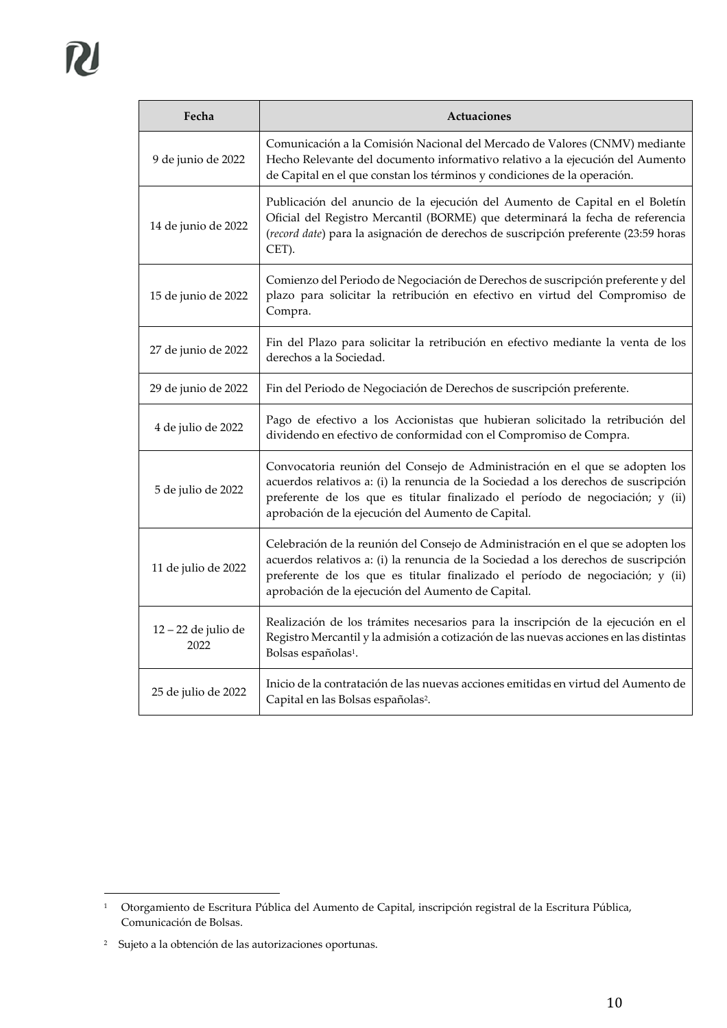| Fecha                       | Actuaciones                                                                                                                                                                                                                                                                                                   |
|-----------------------------|---------------------------------------------------------------------------------------------------------------------------------------------------------------------------------------------------------------------------------------------------------------------------------------------------------------|
| 9 de junio de 2022          | Comunicación a la Comisión Nacional del Mercado de Valores (CNMV) mediante<br>Hecho Relevante del documento informativo relativo a la ejecución del Aumento<br>de Capital en el que constan los términos y condiciones de la operación.                                                                       |
| 14 de junio de 2022         | Publicación del anuncio de la ejecución del Aumento de Capital en el Boletín<br>Oficial del Registro Mercantil (BORME) que determinará la fecha de referencia<br>(record date) para la asignación de derechos de suscripción preferente (23:59 horas<br>CET).                                                 |
| 15 de junio de 2022         | Comienzo del Periodo de Negociación de Derechos de suscripción preferente y del<br>plazo para solicitar la retribución en efectivo en virtud del Compromiso de<br>Compra.                                                                                                                                     |
| 27 de junio de 2022         | Fin del Plazo para solicitar la retribución en efectivo mediante la venta de los<br>derechos a la Sociedad.                                                                                                                                                                                                   |
| 29 de junio de 2022         | Fin del Periodo de Negociación de Derechos de suscripción preferente.                                                                                                                                                                                                                                         |
| 4 de julio de 2022          | Pago de efectivo a los Accionistas que hubieran solicitado la retribución del<br>dividendo en efectivo de conformidad con el Compromiso de Compra.                                                                                                                                                            |
| 5 de julio de 2022          | Convocatoria reunión del Consejo de Administración en el que se adopten los<br>acuerdos relativos a: (i) la renuncia de la Sociedad a los derechos de suscripción<br>preferente de los que es titular finalizado el período de negociación; y (ii)<br>aprobación de la ejecución del Aumento de Capital.      |
| 11 de julio de 2022         | Celebración de la reunión del Consejo de Administración en el que se adopten los<br>acuerdos relativos a: (i) la renuncia de la Sociedad a los derechos de suscripción<br>preferente de los que es titular finalizado el período de negociación; y (ii)<br>aprobación de la ejecución del Aumento de Capital. |
| 12 - 22 de julio de<br>2022 | Realización de los trámites necesarios para la inscripción de la ejecución en el<br>Registro Mercantil y la admisión a cotización de las nuevas acciones en las distintas<br>Bolsas españolas <sup>1</sup> .                                                                                                  |
| 25 de julio de 2022         | Inicio de la contratación de las nuevas acciones emitidas en virtud del Aumento de<br>Capital en las Bolsas españolas <sup>2</sup> .                                                                                                                                                                          |

<sup>1</sup> Otorgamiento de Escritura Pública del Aumento de Capital, inscripción registral de la Escritura Pública, Comunicación de Bolsas.

<sup>2</sup> Sujeto a la obtención de las autorizaciones oportunas.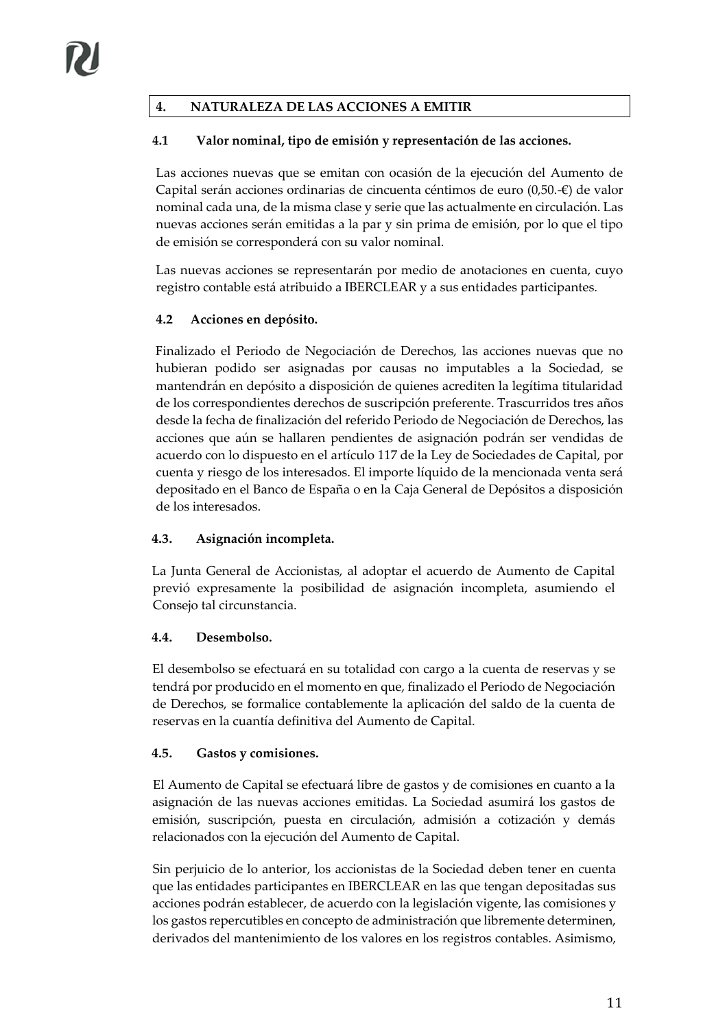# **4. NATURALEZA DE LAS ACCIONES A EMITIR**

## **4.1 Valor nominal, tipo de emisión y representación de las acciones.**

Las acciones nuevas que se emitan con ocasión de la ejecución del Aumento de Capital serán acciones ordinarias de cincuenta céntimos de euro (0,50.-€) de valor nominal cada una, de la misma clase y serie que las actualmente en circulación. Las nuevas acciones serán emitidas a la par y sin prima de emisión, por lo que el tipo de emisión se corresponderá con su valor nominal.

Las nuevas acciones se representarán por medio de anotaciones en cuenta, cuyo registro contable está atribuido a IBERCLEAR y a sus entidades participantes.

## **4.2 Acciones en depósito.**

Finalizado el Periodo de Negociación de Derechos, las acciones nuevas que no hubieran podido ser asignadas por causas no imputables a la Sociedad, se mantendrán en depósito a disposición de quienes acrediten la legítima titularidad de los correspondientes derechos de suscripción preferente. Trascurridos tres años desde la fecha de finalización del referido Periodo de Negociación de Derechos, las acciones que aún se hallaren pendientes de asignación podrán ser vendidas de acuerdo con lo dispuesto en el artículo 117 de la Ley de Sociedades de Capital, por cuenta y riesgo de los interesados. El importe líquido de la mencionada venta será depositado en el Banco de España o en la Caja General de Depósitos a disposición de los interesados.

## **4.3. Asignación incompleta.**

La Junta General de Accionistas, al adoptar el acuerdo de Aumento de Capital previó expresamente la posibilidad de asignación incompleta, asumiendo el Consejo tal circunstancia.

#### **4.4. Desembolso.**

El desembolso se efectuará en su totalidad con cargo a la cuenta de reservas y se tendrá por producido en el momento en que, finalizado el Periodo de Negociación de Derechos, se formalice contablemente la aplicación del saldo de la cuenta de reservas en la cuantía definitiva del Aumento de Capital.

#### **4.5. Gastos y comisiones.**

El Aumento de Capital se efectuará libre de gastos y de comisiones en cuanto a la asignación de las nuevas acciones emitidas. La Sociedad asumirá los gastos de emisión, suscripción, puesta en circulación, admisión a cotización y demás relacionados con la ejecución del Aumento de Capital.

Sin perjuicio de lo anterior, los accionistas de la Sociedad deben tener en cuenta que las entidades participantes en IBERCLEAR en las que tengan depositadas sus acciones podrán establecer, de acuerdo con la legislación vigente, las comisiones y los gastos repercutibles en concepto de administración que libremente determinen, derivados del mantenimiento de los valores en los registros contables. Asimismo,